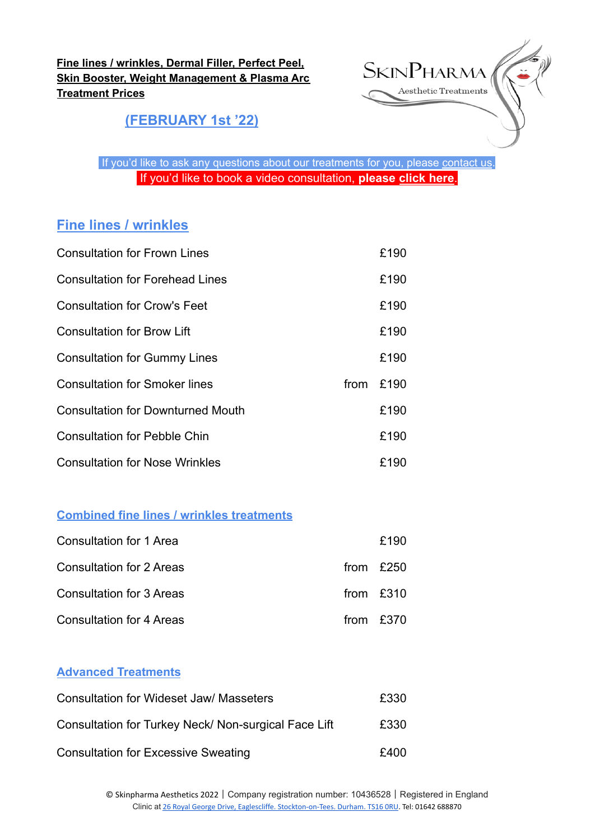**Fine lines / wrinkles, Dermal Filler, Perfect Peel, Skin Booster, Weight Management & Plasma Arc Treatment Prices**



**(FEBRUARY 1st '22)**

If you'd like to ask any questions about our treatments for you, please [contact](https://www.skinpharma.co.uk/contact) us. If you'd like to book a video consultation, **please [click here](https://www.skinpharma.co.uk/videoconsultation)**.

## **Fine lines / wrinkles**

| <b>Consultation for Frown Lines</b>      |      | £190 |
|------------------------------------------|------|------|
| <b>Consultation for Forehead Lines</b>   |      | £190 |
| <b>Consultation for Crow's Feet</b>      |      | £190 |
| <b>Consultation for Brow Lift</b>        |      | £190 |
| <b>Consultation for Gummy Lines</b>      |      | £190 |
| <b>Consultation for Smoker lines</b>     | from | £190 |
| <b>Consultation for Downturned Mouth</b> |      | £190 |
| <b>Consultation for Pebble Chin</b>      |      | £190 |
| <b>Consultation for Nose Wrinkles</b>    |      | £190 |

#### **Combined fine lines / wrinkles treatments**

| Consultation for 1 Area         | £190        |
|---------------------------------|-------------|
| Consultation for 2 Areas        | from $£250$ |
| Consultation for 3 Areas        | from $£310$ |
| <b>Consultation for 4 Areas</b> | from $£370$ |

#### **Advanced Treatments**

| <b>Consultation for Wideset Jaw/ Masseters</b>       | £330 |
|------------------------------------------------------|------|
| Consultation for Turkey Neck/ Non-surgical Face Lift | £330 |
| <b>Consultation for Excessive Sweating</b>           | £400 |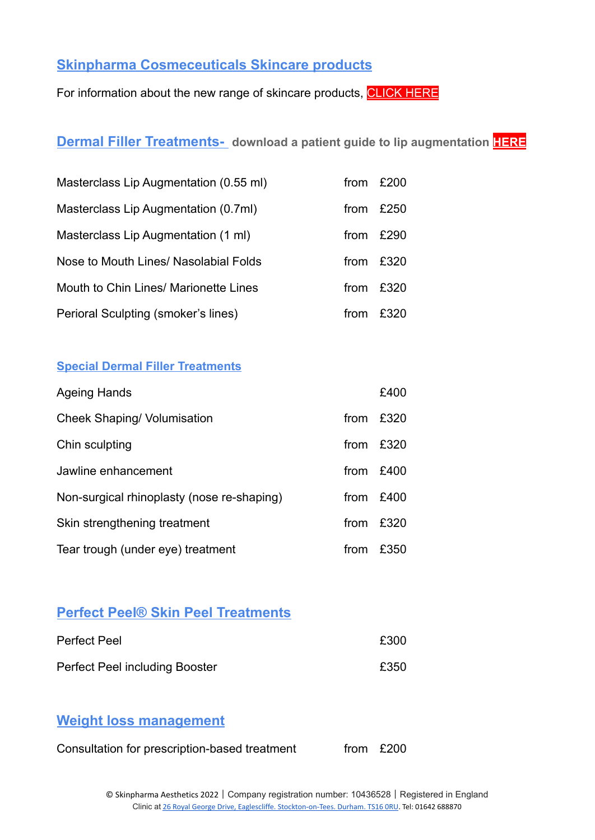### **Skinpharma Cosmeceuticals Skincare products**

For information about the new range of skincare products, [CLICK HERE](https://skinpharma-aesthetics.myshopify.com)

### **Dermal Filler Treatments- download a patient guide to lip augmentation [HERE](https://www.skinpharma.co.uk/lips)**

| Masterclass Lip Augmentation (0.55 ml) | from | £200 |
|----------------------------------------|------|------|
| Masterclass Lip Augmentation (0.7ml)   | from | £250 |
| Masterclass Lip Augmentation (1 ml)    | from | £290 |
| Nose to Mouth Lines/ Nasolabial Folds  | from | £320 |
| Mouth to Chin Lines/ Marionette Lines  | from | £320 |
| Perioral Sculpting (smoker's lines)    | from | £320 |

#### **Special Dermal Filler Treatments**

| <b>Ageing Hands</b>                        |      | £400      |
|--------------------------------------------|------|-----------|
| <b>Cheek Shaping/ Volumisation</b>         | from | £320      |
| Chin sculpting                             | from | £320      |
| Jawline enhancement                        |      | from £400 |
| Non-surgical rhinoplasty (nose re-shaping) | from | £400      |
| Skin strengthening treatment               | from | £320      |
| Tear trough (under eye) treatment          | from | £350      |

### **Perfect Peel® Skin Peel Treatments**

| <b>Perfect Peel</b>                   | £300 |
|---------------------------------------|------|
| <b>Perfect Peel including Booster</b> | £350 |

### **Weight loss management**

Consultation for prescription-based treatment from £200